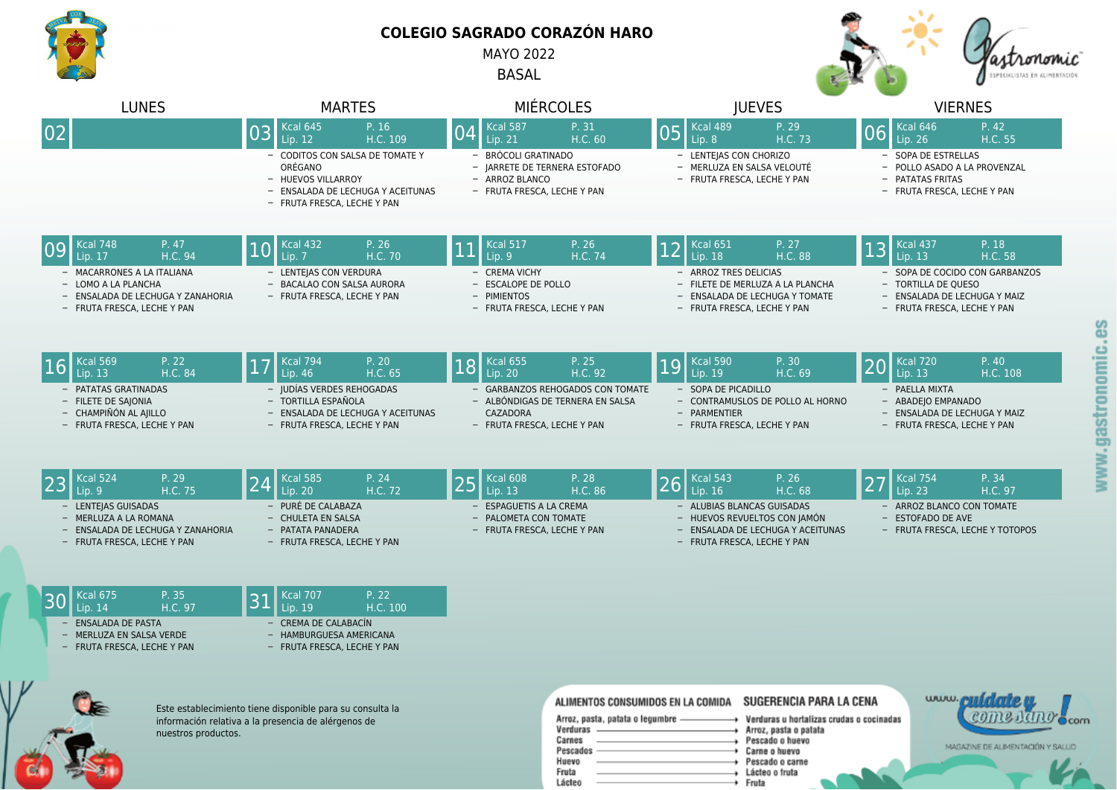

GE

## **COLEGIO SAGRADO CORAZÓN HARO**

MAYO 2022

BASAL



www.cuidates

COME RAND ocom

MAGAZINE DE ALIMENTACIÓN Y SALUD

| <b>LUNES</b>                                                                                                          | <b>MARTES</b>                                                                                                                        | <b>MIÉRCOLES</b>                                                                                                | <b>IUEVES</b>                                                                                                                  | <b>VIERNES</b>                                                                                                       |
|-----------------------------------------------------------------------------------------------------------------------|--------------------------------------------------------------------------------------------------------------------------------------|-----------------------------------------------------------------------------------------------------------------|--------------------------------------------------------------------------------------------------------------------------------|----------------------------------------------------------------------------------------------------------------------|
| 02                                                                                                                    | Kcal 645<br>P. 16<br>03<br>H.C. 109<br>Lip. 12                                                                                       | P. 31<br><b>Kcal 587</b><br> 04<br>H.C. 60<br>Lip. 21                                                           | $Kcal$ cal 489<br>P. 29<br>05<br>Lip. 8<br>H.C. 73                                                                             | Kcal 646<br>P. 42<br>06<br>H.C. 55<br>Lip. 26                                                                        |
|                                                                                                                       | - CODITOS CON SALSA DE TOMATE Y<br>ORÉGANO<br>- HUEVOS VILLARROY<br>- ENSALADA DE LECHUGA Y ACEITUNAS<br>- FRUTA FRESCA, LECHE Y PAN | BRÓCOLI GRATINADO<br>- JARRETE DE TERNERA ESTOFADO<br>- ARROZ BLANCO<br>- FRUTA FRESCA, LECHE Y PAN             | - LENTEJAS CON CHORIZO<br>- MERLUZA EN SALSA VELOUTÉ<br>- FRUTA FRESCA, LECHE Y PAN                                            | - SOPA DE ESTRELLAS<br>- POLLO ASADO A LA PROVENZAL<br>- PATATAS FRITAS<br>- FRUTA FRESCA, LECHE Y PAN               |
| Kcal 748<br>P. 47<br>09<br>H.C. 94<br>Lip. 17                                                                         | <b>Kcal 432</b><br>P. 26<br> 10<br>H.C. 70<br>Lip. 7                                                                                 | <b>Kcal 517</b><br>P. 26<br>H.C. 74<br>Lip. 9                                                                   | <b>Kcal 651</b><br>P. 27<br> 12<br>H.C. 88<br>Lip. 18                                                                          | P. 18<br><b>Kcal 437</b><br>13<br>H.C. 58<br>Lip. $13$                                                               |
| - MACARRONES A LA ITALIANA<br>- LOMO A LA PLANCHA<br>- ENSALADA DE LECHUGA Y ZANAHORIA<br>- FRUTA FRESCA, LECHE Y PAN | - LENTEIAS CON VERDURA<br>- BACALAO CON SALSA AURORA<br>- FRUTA FRESCA, LECHE Y PAN                                                  | - CREMA VICHY<br>- ESCALOPE DE POLLO<br>- PIMIENTOS<br>- FRUTA FRESCA, LECHE Y PAN                              | - ARROZ TRES DELICIAS<br>- FILETE DE MERLUZA A LA PLANCHA<br>- ENSALADA DE LECHUGA Y TOMATE<br>- FRUTA FRESCA, LECHE Y PAN     | - SOPA DE COCIDO CON GARBANZOS<br>- TORTILLA DE QUESO<br>- ENSALADA DE LECHUGA Y MAIZ<br>- FRUTA FRESCA, LECHE Y PAN |
| <b>Kcal 569</b><br>P. 22<br>Lip. 13<br>H.C. 84                                                                        | <b>Kcal 794</b><br>P. 20<br> 17<br>Lip. $46$<br>H.C. 65                                                                              | <b>Kcal 655</b><br>P. 25<br>18<br>Lip. 20<br>H.C. 92                                                            | Kcal 590<br>P. 30<br>19<br>Lip. 19<br>H.C. 69                                                                                  | P. 40<br><b>Kcal 720</b><br>20<br>Lip. 13<br>H.C. 108                                                                |
| - PATATAS GRATINADAS<br>- FILETE DE SAJONIA<br>- CHAMPIÑÓN AL AIILLO<br>- FRUTA FRESCA, LECHE Y PAN                   | - IUDÍAS VERDES REHOGADAS<br>- TORTILLA ESPAÑOLA<br>- ENSALADA DE LECHUGA Y ACEITUNAS<br>- FRUTA FRESCA, LECHE Y PAN                 | - GARBANZOS REHOGADOS CON TOMATE<br>- ALBÓNDIGAS DE TERNERA EN SALSA<br>CAZADORA<br>- FRUTA FRESCA, LECHE Y PAN | - SOPA DE PICADILLO<br>- CONTRAMUSLOS DE POLLO AL HORNO<br>- PARMENTIER<br>- FRUTA FRESCA, LECHE Y PAN                         | - PAELLA MIXTA<br>- ABADEJO EMPANADO<br>- ENSALADA DE LECHUGA Y MAIZ<br>- FRUTA FRESCA, LECHE Y PAN                  |
| Kcal 524<br>P. 29<br>H.C. 75<br>Lip. 9                                                                                | P. 24<br><b>Kcal 585</b><br>H.C. 72<br>Lip. $20$                                                                                     | P. 28<br><b>Kcal 608</b><br>25<br>Lip. 13<br>H.C. 86                                                            | P. 26<br><b>Kcal 543</b><br>26<br>H.C. 68<br>Lip. 16                                                                           | P. 34<br><b>Kcal 754</b><br>27<br>Lip. 23<br>H.C. 97                                                                 |
| - LENTEIAS GUISADAS<br>- MERLUZA A LA ROMANA<br>- ENSALADA DE LECHUGA Y ZANAHORIA<br>- FRUTA FRESCA, LECHE Y PAN      | - PURÉ DE CALABAZA<br>- CHULETA EN SALSA<br>- PATATA PANADERA<br>- FRUTA FRESCA, LECHE Y PAN                                         | ESPAGUETIS A LA CREMA<br>- PALOMETA CON TOMATE<br>- FRUTA FRESCA, LECHE Y PAN                                   | - ALUBIAS BLANCAS GUISADAS<br>- HUEVOS REVUELTOS CON JAMÓN<br>- ENSALADA DE LECHUGA Y ACEITUNAS<br>- FRUTA FRESCA, LECHE Y PAN | - ARROZ BLANCO CON TOMATE<br>- ESTOFADO DE AVE<br>- FRUTA FRESCA, LECHE Y TOTOPOS                                    |
| <b>Kcal 675</b><br>P. 35<br>Lip. 14<br>H.C. 97                                                                        | P. 22<br><b>Kcal 707</b><br> 31<br>H.C. 100<br>Lip. 19                                                                               |                                                                                                                 |                                                                                                                                |                                                                                                                      |
| <b>ENSALADA DE PASTA</b><br>- MERLUZA EN SALSA VERDE<br>- FRUTA FRESCA, LECHE Y PAN                                   | CREMA DE CALABACÍN<br>- HAMBURGUESA AMERICANA<br>- FRUTA FRESCA, LECHE Y PAN                                                         |                                                                                                                 |                                                                                                                                |                                                                                                                      |



| ALIMENTOS CONSUMIDOS EN LA COMIDA                                   | SUGERENCIA PARA LA CENA                                                                               |  |
|---------------------------------------------------------------------|-------------------------------------------------------------------------------------------------------|--|
| Arroz, pasta, patata o legumbre -<br>Verduras<br>Carnes<br>Pescados | Verduras u hortalizas crudas o cocinadas<br>Arroz, pasta o palata<br>Pescado o huevo<br>Carne o huevo |  |
| Huevo<br>Fruta<br>Lácteo                                            | Pescado o carne<br>Lácteo o fruta<br>Fruta                                                            |  |